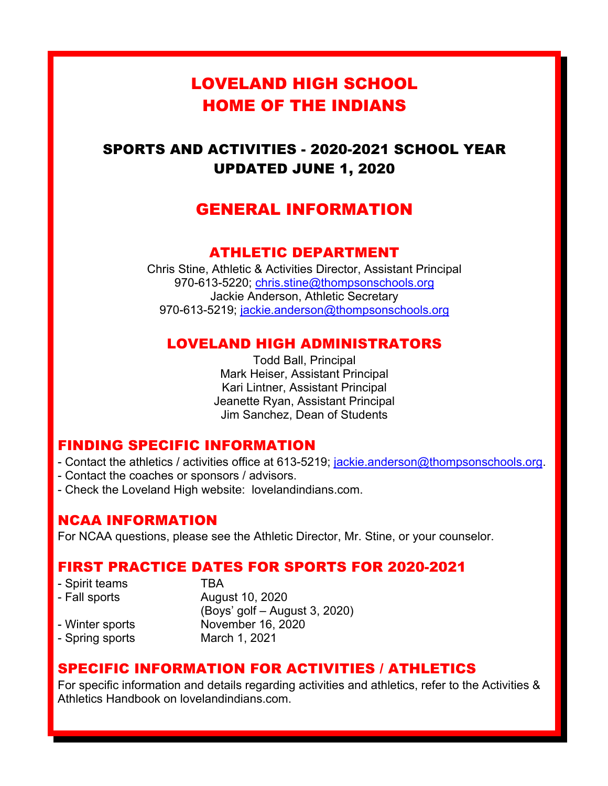# LOVELAND HIGH SCHOOL HOME OF THE INDIANS

# SPORTS AND ACTIVITIES - 2020-2021 SCHOOL YEAR UPDATED JUNE 1, 2020

# GENERAL INFORMATION

# ATHLETIC DEPARTMENT

Chris Stine, Athletic & Activities Director, Assistant Principal 970-613-5220; chris.stine@thompsonschools.org Jackie Anderson, Athletic Secretary 970-613-5219; jackie.anderson@thompsonschools.org

# LOVELAND HIGH ADMINISTRATORS

Todd Ball, Principal Mark Heiser, Assistant Principal Kari Lintner, Assistant Principal Jeanette Ryan, Assistant Principal Jim Sanchez, Dean of Students

### FINDING SPECIFIC INFORMATION

- Contact the athletics / activities office at 613-5219; jackie.anderson@thompsonschools.org.
- Contact the coaches or sponsors / advisors.
- Check the Loveland High website: lovelandindians.com.

# NCAA INFORMATION

For NCAA questions, please see the Athletic Director, Mr. Stine, or your counselor.

### FIRST PRACTICE DATES FOR SPORTS FOR 2020-2021

| - Spirit teams  | TRA                           |
|-----------------|-------------------------------|
| - Fall sports   | August 10, 2020               |
|                 | (Boys' golf – August 3, 2020) |
| - Winter sports | November 16, 2020             |
| - Spring sports | March 1, 2021                 |

# SPECIFIC INFORMATION FOR ACTIVITIES / ATHLETICS

For specific information and details regarding activities and athletics, refer to the Activities & Athletics Handbook on lovelandindians.com.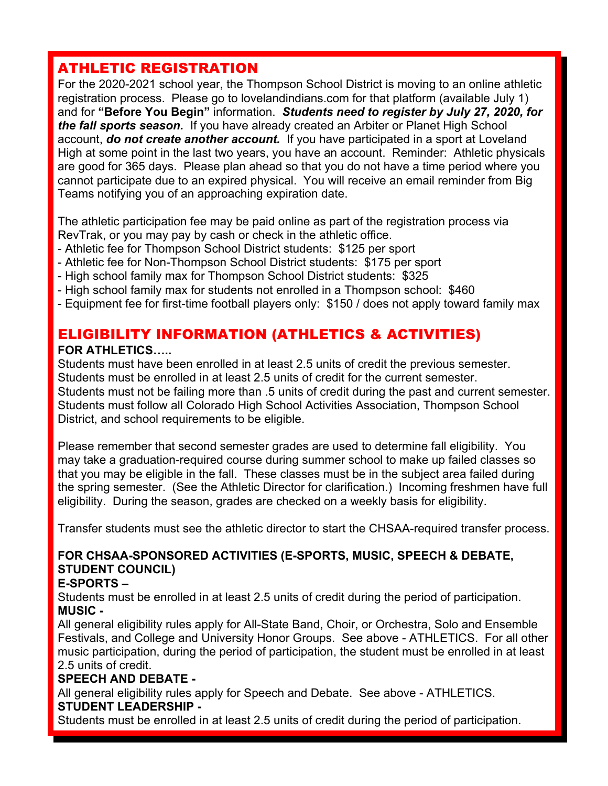# ATHLETIC REGISTRATION

For the 2020-2021 school year, the Thompson School District is moving to an online athletic registration process. Please go to lovelandindians.com for that platform (available July 1) and for **"Before You Begin"** information. *Students need to register by July 27, 2020, for the fall sports season.* If you have already created an Arbiter or Planet High School account, *do not create another account.* If you have participated in a sport at Loveland High at some point in the last two years, you have an account. Reminder: Athletic physicals are good for 365 days. Please plan ahead so that you do not have a time period where you cannot participate due to an expired physical. You will receive an email reminder from Big Teams notifying you of an approaching expiration date.

The athletic participation fee may be paid online as part of the registration process via RevTrak, or you may pay by cash or check in the athletic office.

- Athletic fee for Thompson School District students: \$125 per sport
- Athletic fee for Non-Thompson School District students: \$175 per sport
- High school family max for Thompson School District students: \$325
- High school family max for students not enrolled in a Thompson school: \$460
- Equipment fee for first-time football players only: \$150 / does not apply toward family max

# ELIGIBILITY INFORMATION (ATHLETICS & ACTIVITIES)

#### **FOR ATHLETICS…..**

Students must have been enrolled in at least 2.5 units of credit the previous semester. Students must be enrolled in at least 2.5 units of credit for the current semester. Students must not be failing more than .5 units of credit during the past and current semester. Students must follow all Colorado High School Activities Association, Thompson School District, and school requirements to be eligible.

Please remember that second semester grades are used to determine fall eligibility. You may take a graduation-required course during summer school to make up failed classes so that you may be eligible in the fall. These classes must be in the subject area failed during the spring semester. (See the Athletic Director for clarification.) Incoming freshmen have full eligibility. During the season, grades are checked on a weekly basis for eligibility.

Transfer students must see the athletic director to start the CHSAA-required transfer process.

## **FOR CHSAA-SPONSORED ACTIVITIES (E-SPORTS, MUSIC, SPEECH & DEBATE, STUDENT COUNCIL)**

#### **E-SPORTS –**

Students must be enrolled in at least 2.5 units of credit during the period of participation. **MUSIC -**

All general eligibility rules apply for All-State Band, Choir, or Orchestra, Solo and Ensemble Festivals, and College and University Honor Groups. See above - ATHLETICS. For all other music participation, during the period of participation, the student must be enrolled in at least 2.5 units of credit.

### **SPEECH AND DEBATE -**

All general eligibility rules apply for Speech and Debate. See above - ATHLETICS. **STUDENT LEADERSHIP -**

Students must be enrolled in at least 2.5 units of credit during the period of participation.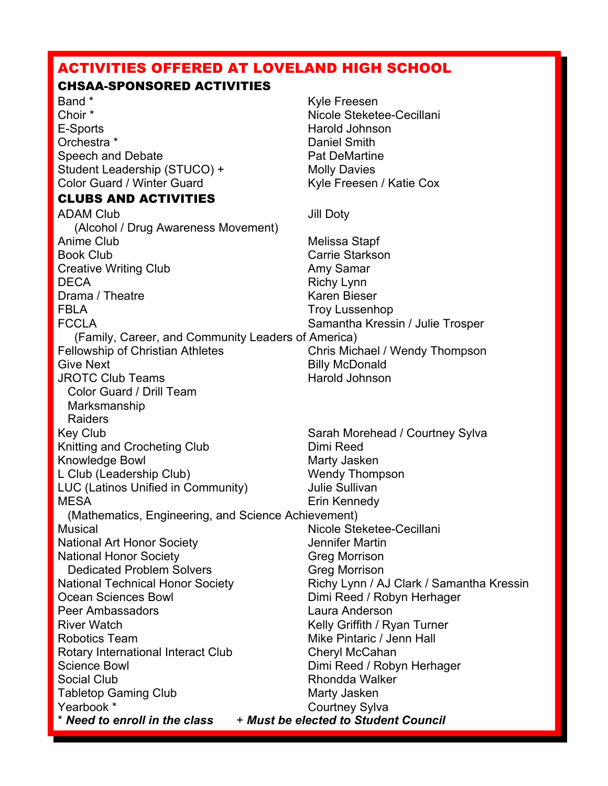## ACTIVITIES OFFERED AT LOVELAND HIGH SCHOOL

#### CHSAA-SPONSORED ACTIVITIES

Band \* Kyle Freesen Choir \* Nicole Steketee-Cecillani E-Sports **Harold Johnson** Orchestra \* The Daniel Smith Speech and Debate **Pat DeMartine** Student Leadership (STUCO) + Molly Davies Color Guard / Winter Guard Kyle Freesen / Katie Cox

#### CLUBS AND ACTIVITIES

ADAM Club Jill Doty (Alcohol / Drug Awareness Movement) Anime Club **Melissa** Stapf Book Club Carrie Starkson Creative Writing Club **Amy Samar** DECA Richy Lynn Drama / Theatre **Karen Bieser** Karen Bieser FBLA Troy Lussenhop FCCLA Samantha Kressin / Julie Trosper (Family, Career, and Community Leaders of America) Fellowship of Christian Athletes Chris Michael / Wendy Thompson Give Next **Billy McDonald** JROTC Club Teams **Harold Johnson**  Color Guard / Drill Team Marksmanship Raiders Key Club **Sarah Morehead / Courtney Sylva** Sarah Morehead / Courtney Sylva Knitting and Crocheting Club Dimi Reed Knowledge Bowl Marty Jasken L Club (Leadership Club) Wendy Thompson LUC (Latinos Unified in Community) Julie Sullivan MESA Erin Kennedy (Mathematics, Engineering, and Science Achievement) Musical Musical Allen Controllers and Micole Steketee-Cecillani National Art Honor Society **Verther Society** Jennifer Martin National Honor Society Greg Morrison Dedicated Problem Solvers Greg Morrison National Technical Honor Society **Richy Lynn / AJ Clark / Samantha Kressin** Ocean Sciences Bowl **Dimi Reed / Robyn Herhager** Peer Ambassadors Laura Anderson River Watch **Kelly Griffith / Ryan Turner** Kelly Griffith / Ryan Turner Robotics Team Mike Pintaric / Jenn Hall Rotary International Interact Club Cheryl McCahan Science Bowl **Dimi Reed / Robyn Herhager** Social Club **Rhondda Walker** Tabletop Gaming Club Marty Jasken<br>
Yearbook \* Courtney Sylv

Courtney Sylva

\* *Need to enroll in the class* + *Must be elected to Student Council*